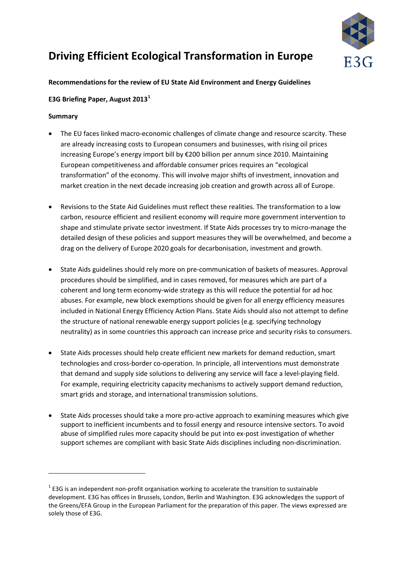

# **Driving Efficient Ecological Transformation in Europe**

## **Recommendations for the review of EU State Aid Environment and Energy Guidelines**

## **E3G Briefing Paper, August 2013[1](#page-0-0)**

## **Summary**

- The EU faces linked macro-economic challenges of climate change and resource scarcity. These are already increasing costs to European consumers and businesses, with rising oil prices increasing Europe's energy import bill by €200 billion per annum since 2010. Maintaining European competitiveness and affordable consumer prices requires an "ecological transformation" of the economy. This will involve major shifts of investment, innovation and market creation in the next decade increasing job creation and growth across all of Europe.
- Revisions to the State Aid Guidelines must reflect these realities. The transformation to a low carbon, resource efficient and resilient economy will require more government intervention to shape and stimulate private sector investment. If State Aids processes try to micro-manage the detailed design of these policies and support measures they will be overwhelmed, and become a drag on the delivery of Europe 2020 goals for decarbonisation, investment and growth.
- State Aids guidelines should rely more on pre-communication of baskets of measures. Approval procedures should be simplified, and in cases removed, for measures which are part of a coherent and long term economy-wide strategy as this will reduce the potential for ad hoc abuses. For example, new block exemptions should be given for all energy efficiency measures included in National Energy Efficiency Action Plans. State Aids should also not attempt to define the structure of national renewable energy support policies (e.g. specifying technology neutrality) as in some countries this approach can increase price and security risks to consumers.
- State Aids processes should help create efficient new markets for demand reduction, smart technologies and cross-border co-operation. In principle, all interventions must demonstrate that demand and supply side solutions to delivering any service will face a level-playing field. For example, requiring electricity capacity mechanisms to actively support demand reduction, smart grids and storage, and international transmission solutions.
- State Aids processes should take a more pro-active approach to examining measures which give support to inefficient incumbents and to fossil energy and resource intensive sectors. To avoid abuse of simplified rules more capacity should be put into ex-post investigation of whether support schemes are compliant with basic State Aids disciplines including non-discrimination.

<span id="page-0-0"></span> $1$  E3G is an independent non-profit organisation working to accelerate the transition to sustainable development. E3G has offices in Brussels, London, Berlin and Washington. E3G acknowledges the support of the Greens/EFA Group in the European Parliament for the preparation of this paper. The views expressed are solely those of E3G.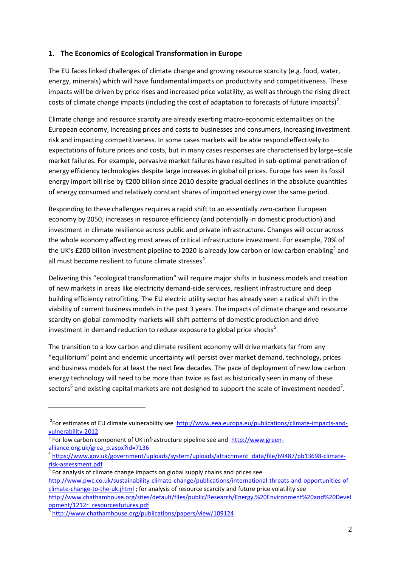# **1. The Economics of Ecological Transformation in Europe**

The EU faces linked challenges of climate change and growing resource scarcity (e.g. food, water, energy, minerals) which will have fundamental impacts on productivity and competitiveness. These impacts will be driven by price rises and increased price volatility, as well as through the rising direct costs of climate change impacts (including the cost of adaptation to forecasts of future impacts)<sup>[2](#page-1-0)</sup>.

Climate change and resource scarcity are already exerting macro-economic externalities on the European economy, increasing prices and costs to businesses and consumers, increasing investment risk and impacting competitiveness. In some cases markets will be able respond effectively to expectations of future prices and costs, but in many cases responses are characterised by large–scale market failures. For example, pervasive market failures have resulted in sub-optimal penetration of energy efficiency technologies despite large increases in global oil prices. Europe has seen its fossil energy import bill rise by €200 billion since 2010 despite gradual declines in the absolute quantities of energy consumed and relatively constant shares of imported energy over the same period.

Responding to these challenges requires a rapid shift to an essentially zero-carbon European economy by 2050, increases in resource efficiency (and potentially in domestic production) and investment in climate resilience across public and private infrastructure. Changes will occur across the whole economy affecting most areas of critical infrastructure investment. For example, 70% of the UK's £200 billion investment pipeline to 2020 is already low carbon or low carbon enabling<sup>[3](#page-1-1)</sup> and all must become resilient to future climate stresses<sup>[4](#page-1-2)</sup>.

Delivering this "ecological transformation" will require major shifts in business models and creation of new markets in areas like electricity demand-side services, resilient infrastructure and deep building efficiency retrofitting. The EU electric utility sector has already seen a radical shift in the viability of current business models in the past 3 years. The impacts of climate change and resource scarcity on global commodity markets will shift patterns of domestic production and drive investment in demand reduction to reduce exposure to global price shocks<sup>[5](#page-1-3)</sup>.

The transition to a low carbon and climate resilient economy will drive markets far from any "equilibrium" point and endemic uncertainty will persist over market demand, technology, prices and business models for at least the next few decades. The pace of deployment of new low carbon energy technology will need to be more than twice as fast as historically seen in many of these sectors<sup>[6](#page-1-4)</sup> and existing capital markets are not designed to support the scale of investment needed<sup>[7](#page-1-5)</sup>.

j

<span id="page-1-0"></span><sup>&</sup>lt;sup>2</sup> For estimates of EU climate vulnerability see [http://www.eea.europa.eu/publications/climate-impacts-and](http://www.eea.europa.eu/publications/climate-impacts-and-vulnerability-2012)[vulnerability-2012](http://www.eea.europa.eu/publications/climate-impacts-and-vulnerability-2012)<br> $\frac{3}{3}$  For low carbon component of UK infrastructure pipeline see and [http://www.green-](http://www.green-alliance.org.uk/grea_p.aspx?id=7136)

<span id="page-1-1"></span>[alliance.org.uk/grea\\_p.aspx?id=7136](http://www.green-alliance.org.uk/grea_p.aspx?id=7136)

<span id="page-1-2"></span><sup>4</sup> [https://www.gov.uk/government/uploads/system/uploads/attachment\\_data/file/69487/pb13698-climate](https://www.gov.uk/government/uploads/system/uploads/attachment_data/file/69487/pb13698-climate-risk-assessment.pdf) $\frac{\text{risk-assessment.pdf}}{\text{For analysis of climate change impacts on global supply chains and prices see}}$  $\frac{\text{risk-assessment.pdf}}{\text{For analysis of climate change impacts on global supply chains and prices see}}$  $\frac{\text{risk-assessment.pdf}}{\text{For analysis of climate change impacts on global supply chains and prices see}}$ 

<span id="page-1-3"></span>

<span id="page-1-5"></span>[http://www.pwc.co.uk/sustainability-climate-change/publications/international-threats-and-opportunities-of](http://www.pwc.co.uk/sustainability-climate-change/publications/international-threats-and-opportunities-of-climate-change-to-the-uk.jhtml)[climate-change-to-the-uk.jhtml](http://www.pwc.co.uk/sustainability-climate-change/publications/international-threats-and-opportunities-of-climate-change-to-the-uk.jhtml) ; for analysis of resource scarcity and future price volatility see

[http://www.chathamhouse.org/sites/default/files/public/Research/Energy,%20Environment%20and%20Devel](http://www.chathamhouse.org/sites/default/files/public/Research/Energy,%20Environment%20and%20Development/1212r_resourcesfutures.pdf) [opment/1212r\\_resourcesfutures.pdf](http://www.chathamhouse.org/sites/default/files/public/Research/Energy,%20Environment%20and%20Development/1212r_resourcesfutures.pdf)

<span id="page-1-4"></span><sup>6</sup> <http://www.chathamhouse.org/publications/papers/view/109124>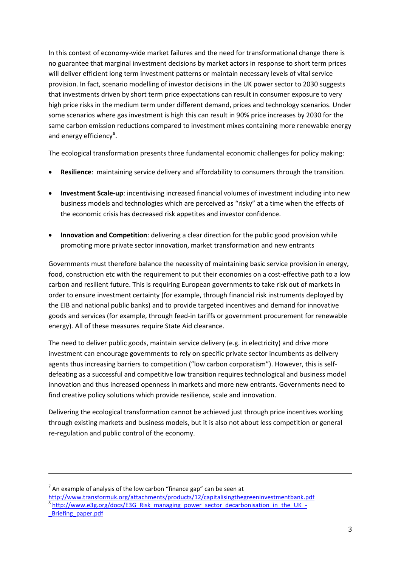In this context of economy-wide market failures and the need for transformational change there is no guarantee that marginal investment decisions by market actors in response to short term prices will deliver efficient long term investment patterns or maintain necessary levels of vital service provision. In fact, scenario modelling of investor decisions in the UK power sector to 2030 suggests that investments driven by short term price expectations can result in consumer exposure to very high price risks in the medium term under different demand, prices and technology scenarios. Under some scenarios where gas investment is high this can result in 90% price increases by 2030 for the same carbon emission reductions compared to investment mixes containing more renewable energy and energy efficiency<sup>[8](#page-2-0)</sup>.

The ecological transformation presents three fundamental economic challenges for policy making:

- **Resilience**: maintaining service delivery and affordability to consumers through the transition.
- **Investment Scale-up**: incentivising increased financial volumes of investment including into new business models and technologies which are perceived as "risky" at a time when the effects of the economic crisis has decreased risk appetites and investor confidence.
- **Innovation and Competition**: delivering a clear direction for the public good provision while promoting more private sector innovation, market transformation and new entrants

Governments must therefore balance the necessity of maintaining basic service provision in energy, food, construction etc with the requirement to put their economies on a cost-effective path to a low carbon and resilient future. This is requiring European governments to take risk out of markets in order to ensure investment certainty (for example, through financial risk instruments deployed by the EIB and national public banks) and to provide targeted incentives and demand for innovative goods and services (for example, through feed-in tariffs or government procurement for renewable energy). All of these measures require State Aid clearance.

The need to deliver public goods, maintain service delivery (e.g. in electricity) and drive more investment can encourage governments to rely on specific private sector incumbents as delivery agents thus increasing barriers to competition ("low carbon corporatism"). However, this is selfdefeating as a successful and competitive low transition requires technological and business model innovation and thus increased openness in markets and more new entrants. Governments need to find creative policy solutions which provide resilience, scale and innovation.

Delivering the ecological transformation cannot be achieved just through price incentives working through existing markets and business models, but it is also not about less competition or general re-regulation and public control of the economy.

 $<sup>7</sup>$  An example of analysis of the low carbon "finance gap" can be seen at</sup>

<span id="page-2-0"></span><http://www.transformuk.org/attachments/products/12/capitalisingthegreeninvestmentbank.pdf> [http://www.e3g.org/docs/E3G\\_Risk\\_managing\\_power\\_sector\\_decarbonisation\\_in\\_the\\_UK\\_-](http://www.e3g.org/docs/E3G_Risk_managing_power_sector_decarbonisation_in_the_UK_-_Briefing_paper.pdf) Briefing paper.pdf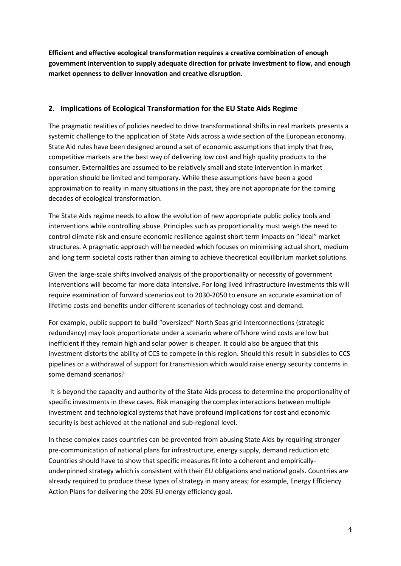**Efficient and effective ecological transformation requires a creative combination of enough government intervention to supply adequate direction for private investment to flow, and enough market openness to deliver innovation and creative disruption.** 

## **2. Implications of Ecological Transformation for the EU State Aids Regime**

The pragmatic realities of policies needed to drive transformational shifts in real markets presents a systemic challenge to the application of State Aids across a wide section of the European economy. State Aid rules have been designed around a set of economic assumptions that imply that free, competitive markets are the best way of delivering low cost and high quality products to the consumer. Externalities are assumed to be relatively small and state intervention in market operation should be limited and temporary. While these assumptions have been a good approximation to reality in many situations in the past, they are not appropriate for the coming decades of ecological transformation.

The State Aids regime needs to allow the evolution of new appropriate public policy tools and interventions while controlling abuse. Principles such as proportionality must weigh the need to control climate risk and ensure economic resilience against short term impacts on "ideal" market structures. A pragmatic approach will be needed which focuses on minimising actual short, medium and long term societal costs rather than aiming to achieve theoretical equilibrium market solutions.

Given the large-scale shifts involved analysis of the proportionality or necessity of government interventions will become far more data intensive. For long lived infrastructure investments this will require examination of forward scenarios out to 2030-2050 to ensure an accurate examination of lifetime costs and benefits under different scenarios of technology cost and demand.

For example, public support to build "oversized" North Seas grid interconnections (strategic redundancy) may look proportionate under a scenario where offshore wind costs are low but inefficient if they remain high and solar power is cheaper. It could also be argued that this investment distorts the ability of CCS to compete in this region. Should this result in subsidies to CCS pipelines or a withdrawal of support for transmission which would raise energy security concerns in some demand scenarios?

It is beyond the capacity and authority of the State Aids process to determine the proportionality of specific investments in these cases. Risk managing the complex interactions between multiple investment and technological systems that have profound implications for cost and economic security is best achieved at the national and sub-regional level.

In these complex cases countries can be prevented from abusing State Aids by requiring stronger pre-communication of national plans for infrastructure, energy supply, demand reduction etc. Countries should have to show that specific measures fit into a coherent and empiricallyunderpinned strategy which is consistent with their EU obligations and national goals. Countries are already required to produce these types of strategy in many areas; for example, Energy Efficiency Action Plans for delivering the 20% EU energy efficiency goal.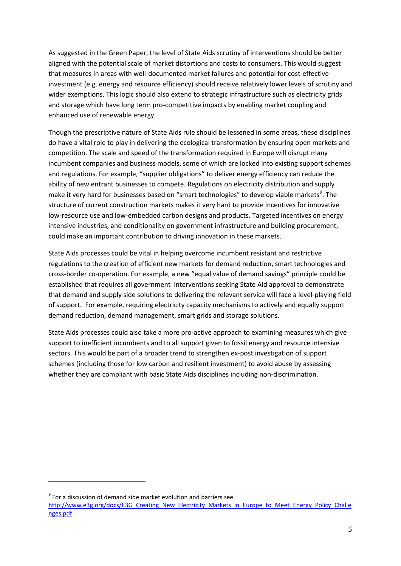As suggested in the Green Paper, the level of State Aids scrutiny of interventions should be better aligned with the potential scale of market distortions and costs to consumers. This would suggest that measures in areas with well-documented market failures and potential for cost-effective investment (e.g. energy and resource efficiency) should receive relatively lower levels of scrutiny and wider exemptions. This logic should also extend to strategic infrastructure such as electricity grids and storage which have long term pro-competitive impacts by enabling market coupling and enhanced use of renewable energy.

Though the prescriptive nature of State Aids rule should be lessened in some areas, these disciplines do have a vital role to play in delivering the ecological transformation by ensuring open markets and competition. The scale and speed of the transformation required in Europe will disrupt many incumbent companies and business models, some of which are locked into existing support schemes and regulations. For example, "supplier obligations" to deliver energy efficiency can reduce the ability of new entrant businesses to compete. Regulations on electricity distribution and supply make it very hard for businesses based on "smart technologies" to develop viable markets<sup>[9](#page-4-0)</sup>. The structure of current construction markets makes it very hard to provide incentives for innovative low-resource use and low-embedded carbon designs and products. Targeted incentives on energy intensive industries, and conditionality on government infrastructure and building procurement, could make an important contribution to driving innovation in these markets.

State Aids processes could be vital in helping overcome incumbent resistant and restrictive regulations to the creation of efficient new markets for demand reduction, smart technologies and cross-border co-operation. For example, a new "equal value of demand savings" principle could be established that requires all government interventions seeking State Aid approval to demonstrate that demand and supply side solutions to delivering the relevant service will face a level-playing field of support. For example, requiring electricity capacity mechanisms to actively and equally support demand reduction, demand management, smart grids and storage solutions.

State Aids processes could also take a more pro-active approach to examining measures which give support to inefficient incumbents and to all support given to fossil energy and resource intensive sectors. This would be part of a broader trend to strengthen ex-post investigation of support schemes (including those for low carbon and resilient investment) to avoid abuse by assessing whether they are compliant with basic State Aids disciplines including non-discrimination.

j

<span id="page-4-0"></span> $9^9$  For a discussion of demand side market evolution and barriers see

[http://www.e3g.org/docs/E3G\\_Creating\\_New\\_Electricity\\_Markets\\_in\\_Europe\\_to\\_Meet\\_Energy\\_Policy\\_Challe](http://www.e3g.org/docs/E3G_Creating_New_Electricity_Markets_in_Europe_to_Meet_Energy_Policy_Challenges.pdf) [nges.pdf](http://www.e3g.org/docs/E3G_Creating_New_Electricity_Markets_in_Europe_to_Meet_Energy_Policy_Challenges.pdf)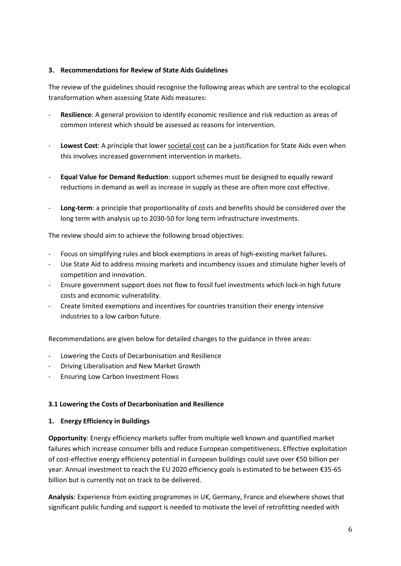#### **3. Recommendations for Review of State Aids Guidelines**

The review of the guidelines should recognise the following areas which are central to the ecological transformation when assessing State Aids measures:

- **Resilience**: A general provision to identify economic resilience and risk reduction as areas of common interest which should be assessed as reasons for intervention.
- Lowest Cost: A principle that lower societal cost can be a justification for State Aids even when this involves increased government intervention in markets.
- **Equal Value for Demand Reduction**: support schemes must be designed to equally reward reductions in demand as well as increase in supply as these are often more cost effective.
- Long-term: a principle that proportionality of costs and benefits should be considered over the long term with analysis up to 2030-50 for long term infrastructure investments.

The review should aim to achieve the following broad objectives:

- Focus on simplifying rules and block exemptions in areas of high-existing market failures.
- Use State Aid to address missing markets and incumbency issues and stimulate higher levels of competition and innovation.
- Ensure government support does not flow to fossil fuel investments which lock-in high future costs and economic vulnerability.
- Create limited exemptions and incentives for countries transition their energy intensive industries to a low carbon future.

Recommendations are given below for detailed changes to the guidance in three areas:

- Lowering the Costs of Decarbonisation and Resilience
- Driving Liberalisation and New Market Growth
- Ensuring Low Carbon Investment Flows

#### **3.1 Lowering the Costs of Decarbonisation and Resilience**

#### **1. Energy Efficiency in Buildings**

**Opportunity**: Energy efficiency markets suffer from multiple well known and quantified market failures which increase consumer bills and reduce European competitiveness. Effective exploitation of cost-effective energy efficiency potential in European buildings could save over €50 billion per year. Annual investment to reach the EU 2020 efficiency goals is estimated to be between €35-65 billion but is currently not on track to be delivered.

**Analysis**: Experience from existing programmes in UK, Germany, France and elsewhere shows that significant public funding and support is needed to motivate the level of retrofitting needed with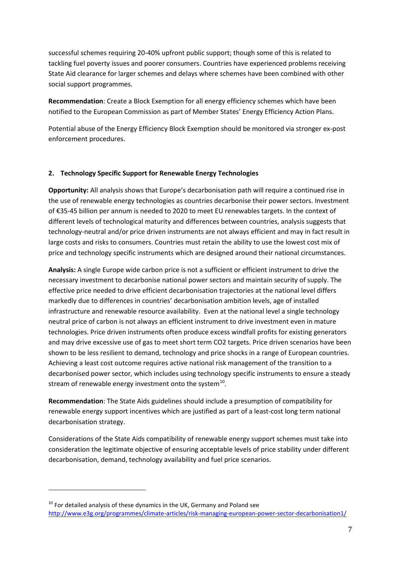successful schemes requiring 20-40% upfront public support; though some of this is related to tackling fuel poverty issues and poorer consumers. Countries have experienced problems receiving State Aid clearance for larger schemes and delays where schemes have been combined with other social support programmes.

**Recommendation**: Create a Block Exemption for all energy efficiency schemes which have been notified to the European Commission as part of Member States' Energy Efficiency Action Plans.

Potential abuse of the Energy Efficiency Block Exemption should be monitored via stronger ex-post enforcement procedures.

## **2. Technology Specific Support for Renewable Energy Technologies**

**Opportunity:** All analysis shows that Europe's decarbonisation path will require a continued rise in the use of renewable energy technologies as countries decarbonise their power sectors. Investment of €35-45 billion per annum is needed to 2020 to meet EU renewables targets. In the context of different levels of technological maturity and differences between countries, analysis suggests that technology-neutral and/or price driven instruments are not always efficient and may in fact result in large costs and risks to consumers. Countries must retain the ability to use the lowest cost mix of price and technology specific instruments which are designed around their national circumstances.

**Analysis:** A single Europe wide carbon price is not a sufficient or efficient instrument to drive the necessary investment to decarbonise national power sectors and maintain security of supply. The effective price needed to drive efficient decarbonisation trajectories at the national level differs markedly due to differences in countries' decarbonisation ambition levels, age of installed infrastructure and renewable resource availability. Even at the national level a single technology neutral price of carbon is not always an efficient instrument to drive investment even in mature technologies. Price driven instruments often produce excess windfall profits for existing generators and may drive excessive use of gas to meet short term CO2 targets. Price driven scenarios have been shown to be less resilient to demand, technology and price shocks in a range of European countries. Achieving a least cost outcome requires active national risk management of the transition to a decarbonised power sector, which includes using technology specific instruments to ensure a steady stream of renewable energy investment onto the system $^{10}$  $^{10}$  $^{10}$ .

**Recommendation**: The State Aids guidelines should include a presumption of compatibility for renewable energy support incentives which are justified as part of a least-cost long term national decarbonisation strategy.

Considerations of the State Aids compatibility of renewable energy support schemes must take into consideration the legitimate objective of ensuring acceptable levels of price stability under different decarbonisation, demand, technology availability and fuel price scenarios.

<span id="page-6-0"></span> $10$  For detailed analysis of these dynamics in the UK, Germany and Poland see <http://www.e3g.org/programmes/climate-articles/risk-managing-european-power-sector-decarbonisation1/>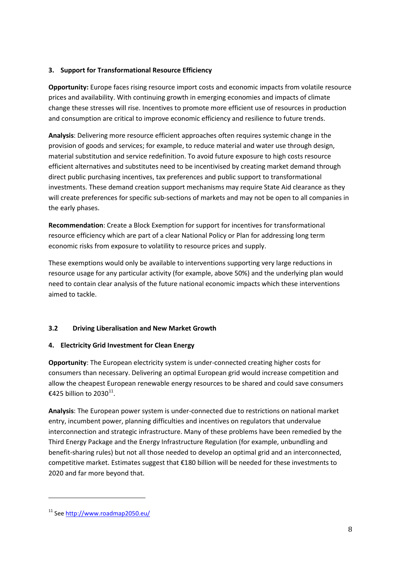#### **3. Support for Transformational Resource Efficiency**

**Opportunity:** Europe faces rising resource import costs and economic impacts from volatile resource prices and availability. With continuing growth in emerging economies and impacts of climate change these stresses will rise. Incentives to promote more efficient use of resources in production and consumption are critical to improve economic efficiency and resilience to future trends.

**Analysis**: Delivering more resource efficient approaches often requires systemic change in the provision of goods and services; for example, to reduce material and water use through design, material substitution and service redefinition. To avoid future exposure to high costs resource efficient alternatives and substitutes need to be incentivised by creating market demand through direct public purchasing incentives, tax preferences and public support to transformational investments. These demand creation support mechanisms may require State Aid clearance as they will create preferences for specific sub-sections of markets and may not be open to all companies in the early phases.

**Recommendation**: Create a Block Exemption for support for incentives for transformational resource efficiency which are part of a clear National Policy or Plan for addressing long term economic risks from exposure to volatility to resource prices and supply.

These exemptions would only be available to interventions supporting very large reductions in resource usage for any particular activity (for example, above 50%) and the underlying plan would need to contain clear analysis of the future national economic impacts which these interventions aimed to tackle.

# **3.2 Driving Liberalisation and New Market Growth**

# **4. Electricity Grid Investment for Clean Energy**

**Opportunity**: The European electricity system is under-connected creating higher costs for consumers than necessary. Delivering an optimal European grid would increase competition and allow the cheapest European renewable energy resources to be shared and could save consumers €425 billion to 2030<sup>[11](#page-7-0)</sup>.

**Analysis**: The European power system is under-connected due to restrictions on national market entry, incumbent power, planning difficulties and incentives on regulators that undervalue interconnection and strategic infrastructure. Many of these problems have been remedied by the Third Energy Package and the Energy Infrastructure Regulation (for example, unbundling and benefit-sharing rules) but not all those needed to develop an optimal grid and an interconnected, competitive market. Estimates suggest that €180 billion will be needed for these investments to 2020 and far more beyond that.

j

<span id="page-7-0"></span><sup>11</sup> Se[e http://www.roadmap2050.eu/](http://www.roadmap2050.eu/)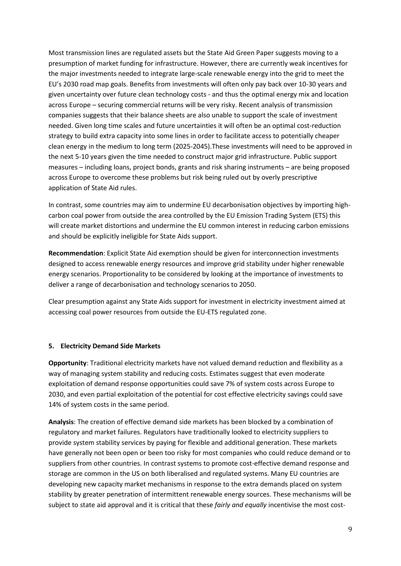Most transmission lines are regulated assets but the State Aid Green Paper suggests moving to a presumption of market funding for infrastructure. However, there are currently weak incentives for the major investments needed to integrate large-scale renewable energy into the grid to meet the EU's 2030 road map goals. Benefits from investments will often only pay back over 10-30 years and given uncertainty over future clean technology costs - and thus the optimal energy mix and location across Europe – securing commercial returns will be very risky. Recent analysis of transmission companies suggests that their balance sheets are also unable to support the scale of investment needed. Given long time scales and future uncertainties it will often be an optimal cost-reduction strategy to build extra capacity into some lines in order to facilitate access to potentially cheaper clean energy in the medium to long term (2025-2045).These investments will need to be approved in the next 5-10 years given the time needed to construct major grid infrastructure. Public support measures – including loans, project bonds, grants and risk sharing instruments – are being proposed across Europe to overcome these problems but risk being ruled out by overly prescriptive application of State Aid rules.

In contrast, some countries may aim to undermine EU decarbonisation objectives by importing highcarbon coal power from outside the area controlled by the EU Emission Trading System (ETS) this will create market distortions and undermine the EU common interest in reducing carbon emissions and should be explicitly ineligible for State Aids support.

**Recommendation**: Explicit State Aid exemption should be given for interconnection investments designed to access renewable energy resources and improve grid stability under higher renewable energy scenarios. Proportionality to be considered by looking at the importance of investments to deliver a range of decarbonisation and technology scenarios to 2050.

Clear presumption against any State Aids support for investment in electricity investment aimed at accessing coal power resources from outside the EU-ETS regulated zone.

#### **5. Electricity Demand Side Markets**

**Opportunity**: Traditional electricity markets have not valued demand reduction and flexibility as a way of managing system stability and reducing costs. Estimates suggest that even moderate exploitation of demand response opportunities could save 7% of system costs across Europe to 2030, and even partial exploitation of the potential for cost effective electricity savings could save 14% of system costs in the same period.

**Analysis**: The creation of effective demand side markets has been blocked by a combination of regulatory and market failures. Regulators have traditionally looked to electricity suppliers to provide system stability services by paying for flexible and additional generation. These markets have generally not been open or been too risky for most companies who could reduce demand or to suppliers from other countries. In contrast systems to promote cost-effective demand response and storage are common in the US on both liberalised and regulated systems. Many EU countries are developing new capacity market mechanisms in response to the extra demands placed on system stability by greater penetration of intermittent renewable energy sources. These mechanisms will be subject to state aid approval and it is critical that these *fairly and equally* incentivise the most cost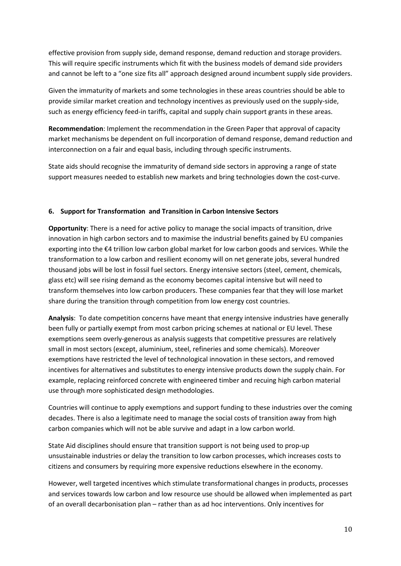effective provision from supply side, demand response, demand reduction and storage providers. This will require specific instruments which fit with the business models of demand side providers and cannot be left to a "one size fits all" approach designed around incumbent supply side providers.

Given the immaturity of markets and some technologies in these areas countries should be able to provide similar market creation and technology incentives as previously used on the supply-side, such as energy efficiency feed-in tariffs, capital and supply chain support grants in these areas.

**Recommendation**: Implement the recommendation in the Green Paper that approval of capacity market mechanisms be dependent on full incorporation of demand response, demand reduction and interconnection on a fair and equal basis, including through specific instruments.

State aids should recognise the immaturity of demand side sectors in approving a range of state support measures needed to establish new markets and bring technologies down the cost-curve.

#### **6. Support for Transformation and Transition in Carbon Intensive Sectors**

**Opportunity**: There is a need for active policy to manage the social impacts of transition, drive innovation in high carbon sectors and to maximise the industrial benefits gained by EU companies exporting into the €4 trillion low carbon global market for low carbon goods and services. While the transformation to a low carbon and resilient economy will on net generate jobs, several hundred thousand jobs will be lost in fossil fuel sectors. Energy intensive sectors (steel, cement, chemicals, glass etc) will see rising demand as the economy becomes capital intensive but will need to transform themselves into low carbon producers. These companies fear that they will lose market share during the transition through competition from low energy cost countries.

**Analysis**: To date competition concerns have meant that energy intensive industries have generally been fully or partially exempt from most carbon pricing schemes at national or EU level. These exemptions seem overly-generous as analysis suggests that competitive pressures are relatively small in most sectors (except, aluminium, steel, refineries and some chemicals). Moreover exemptions have restricted the level of technological innovation in these sectors, and removed incentives for alternatives and substitutes to energy intensive products down the supply chain. For example, replacing reinforced concrete with engineered timber and recuing high carbon material use through more sophisticated design methodologies.

Countries will continue to apply exemptions and support funding to these industries over the coming decades. There is also a legitimate need to manage the social costs of transition away from high carbon companies which will not be able survive and adapt in a low carbon world.

State Aid disciplines should ensure that transition support is not being used to prop-up unsustainable industries or delay the transition to low carbon processes, which increases costs to citizens and consumers by requiring more expensive reductions elsewhere in the economy.

However, well targeted incentives which stimulate transformational changes in products, processes and services towards low carbon and low resource use should be allowed when implemented as part of an overall decarbonisation plan – rather than as ad hoc interventions. Only incentives for